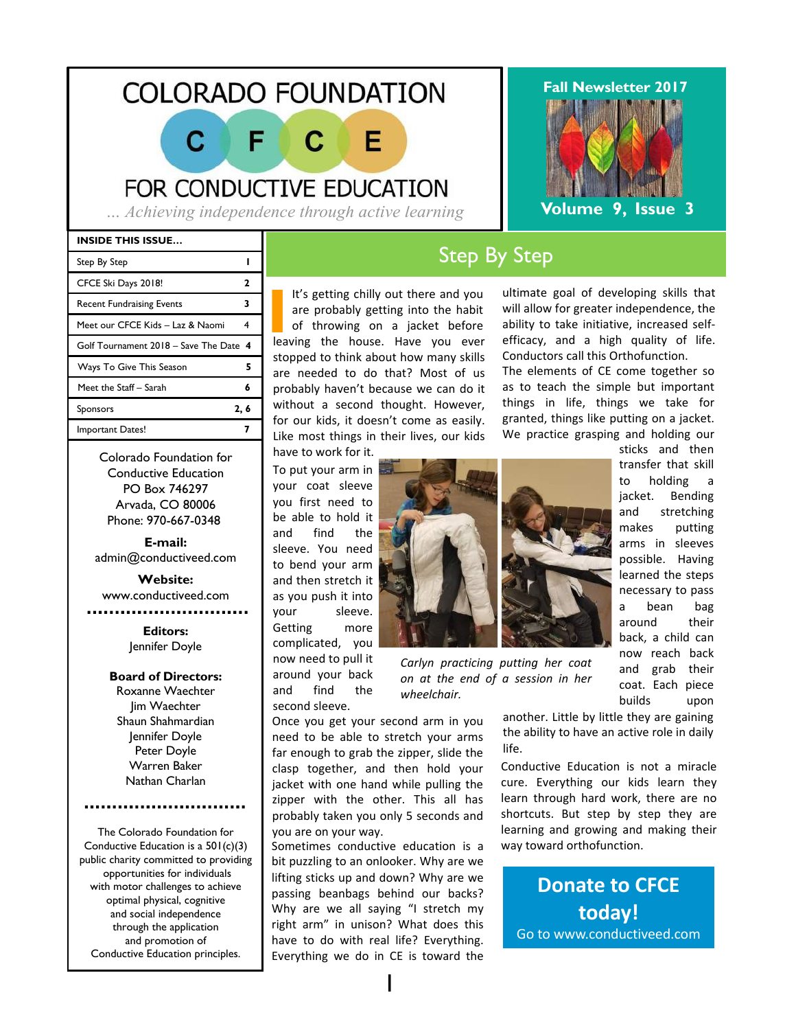## **COLORADO FOUNDATION**

C Е F C

FOR CONDUCTIVE EDUCATION

*… Achieving independence through active learning*

#### **INSIDE THIS ISSUE…**

| Step By Step                           |      |
|----------------------------------------|------|
| CFCE Ski Days 2018!                    | 7    |
| <b>Recent Fundraising Events</b>       | 3    |
| Meet our CFCE Kids – Laz & Naomi       |      |
| Golf Tournament 2018 – Save The Date 4 |      |
| Ways To Give This Season               | 5    |
| Meet the Staff - Sarah                 | 6    |
| Sponsors                               | 2, 6 |
| Important Dates!                       |      |
|                                        |      |

Colorado Foundation for Conductive Education PO Box 746297 Arvada, CO 80006 Phone: 970-667-0348

**E-mail:** admin@conductiveed.com

**Website:** www.conductiveed.com . . . . . . . . . . . . . . .

> **Editors:** Jennifer Doyle

#### **Board of Directors:**

Roxanne Waechter Jim Waechter Shaun Shahmardian Jennifer Doyle Peter Doyle Warren Baker Nathan Charlan

The Colorado Foundation for Conductive Education is a 501(c)(3) public charity committed to providing opportunities for individuals with motor challenges to achieve optimal physical, cognitive and social independence through the application and promotion of Conductive Education principles.

## Step By Step

It's getting chilly out there and you are probably getting into the habit<br>of throwing on a jacket before<br>leaving the house. Have you ever It's getting chilly out there and you are probably getting into the habit of throwing on a jacket before stopped to think about how many skills are needed to do that? Most of us probably haven't because we can do it without a second thought. However, for our kids, it doesn't come as easily. Like most things in their lives, our kids

have to work for it. To put your arm in your coat sleeve you first need to be able to hold it and find the sleeve. You need to bend your arm and then stretch it as you push it into your sleeve. Getting more complicated, you now need to pull it around your back and find the second sleeve.

*Carlyn practicing putting her coat on at the end of a session in her wheelchair.*

Once you get your second arm in you need to be able to stretch your arms far enough to grab the zipper, slide the clasp together, and then hold your jacket with one hand while pulling the zipper with the other. This all has probably taken you only 5 seconds and you are on your way.

Sometimes conductive education is a bit puzzling to an onlooker. Why are we lifting sticks up and down? Why are we passing beanbags behind our backs? Why are we all saying "I stretch my right arm" in unison? What does this have to do with real life? Everything. Everything we do in CE is toward the



ultimate goal of developing skills that will allow for greater independence, the ability to take initiative, increased selfefficacy, and a high quality of life. Conductors call this Orthofunction.

The elements of CE come together so as to teach the simple but important things in life, things we take for granted, things like putting on a jacket. We practice grasping and holding our

> sticks and then transfer that skill to holding a jacket. Bending and stretching makes putting arms in sleeves possible. Having learned the steps necessary to pass a bean bag around their back, a child can now reach back and grab their coat. Each piece builds upon

another. Little by little they are gaining the ability to have an active role in daily life.

Conductive Education is not a miracle cure. Everything our kids learn they learn through hard work, there are no shortcuts. But step by step they are learning and growing and making their way toward orthofunction.

**Donate to CFCE today!** Go to www.conductiveed.com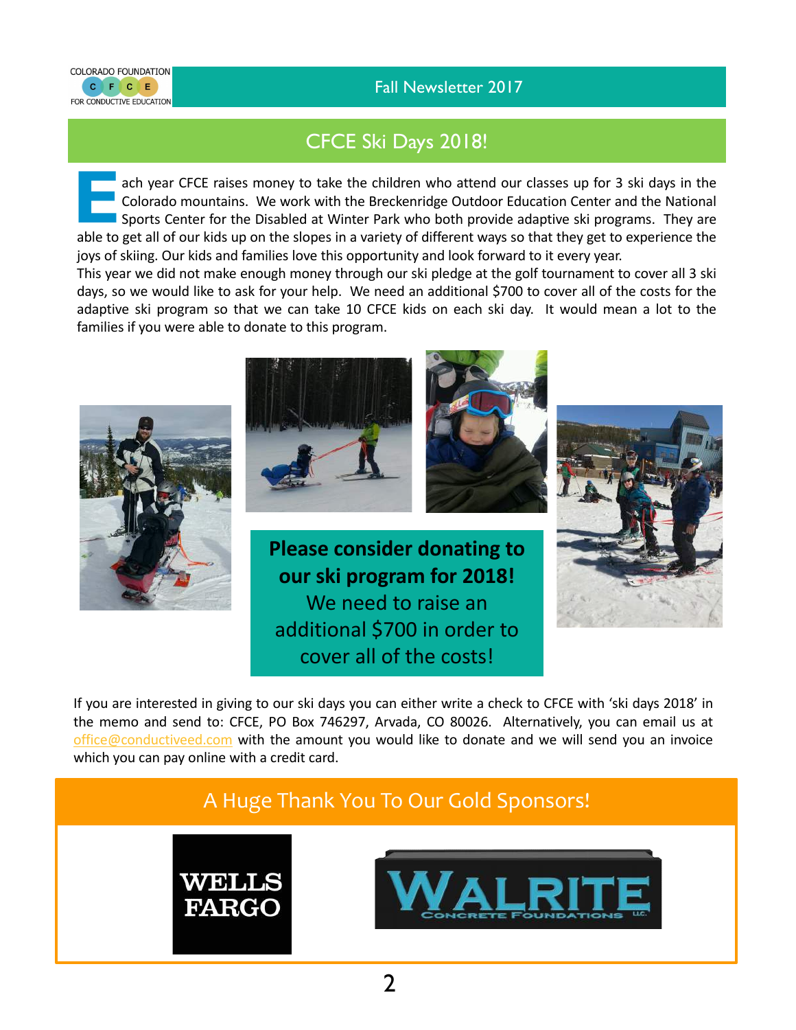



CFCE Ski Days 2018!

**EACH SECUTE 2018 2019 19 ach year CFCE raises money to take the children who attend our classes up for 3 ski days in the Colorado mountains. We work with the Breckenridge Outdoor Education Center and the National Sports C** Colorado mountains. We work with the Breckenridge Outdoor Education Center and the National Sports Center for the Disabled at Winter Park who both provide adaptive ski programs. They are able to get all of our kids up on the slopes in a variety of different ways so that they get to experience the joys of skiing. Our kids and families love this opportunity and look forward to it every year.

This year we did not make enough money through our ski pledge at the golf tournament to cover all 3 ski days, so we would like to ask for your help. We need an additional \$700 to cover all of the costs for the adaptive ski program so that we can take 10 CFCE kids on each ski day. It would mean a lot to the families if you were able to donate to this program.



If you are interested in giving to our ski days you can either write a check to CFCE with 'ski days 2018' in the memo and send to: CFCE, PO Box 746297, Arvada, CO 80026. Alternatively, you can email us at office@conductiveed.com with the amount you would like to donate and we will send you an invoice which you can pay online with a credit card.

## A Huge Thank You To Our Gold Sponsors!



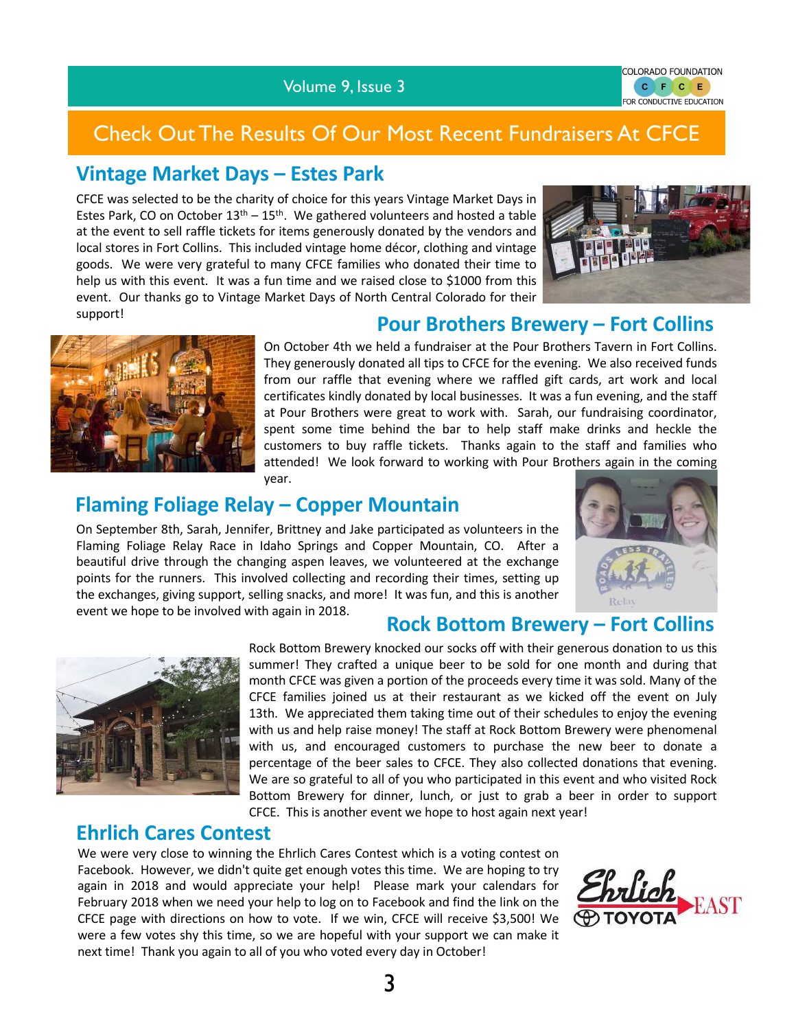#### Volume 9, Issue 3

COLORADO FOUNDATION C F C E FOR CONDUCTIVE EDUCATION

## Check Out The Results Of Our Most Recent Fundraisers At CFCE

## **Vintage Market Days – Estes Park**

CFCE was selected to be the charity of choice for this years Vintage Market Days in Estes Park, CO on October  $13<sup>th</sup> - 15<sup>th</sup>$ . We gathered volunteers and hosted a table at the event to sell raffle tickets for items generously donated by the vendors and local stores in Fort Collins. This included vintage home décor, clothing and vintage goods. We were very grateful to many CFCE families who donated their time to help us with this event. It was a fun time and we raised close to \$1000 from this event. Our thanks go to Vintage Market Days of North Central Colorado for their support!



## **Pour Brothers Brewery – Fort Collins**



On October 4th we held a fundraiser at the Pour Brothers Tavern in Fort Collins. They generously donated all tips to CFCE for the evening. We also received funds from our raffle that evening where we raffled gift cards, art work and local certificates kindly donated by local businesses. It was a fun evening, and the staff at Pour Brothers were great to work with. Sarah, our fundraising coordinator, spent some time behind the bar to help staff make drinks and heckle the customers to buy raffle tickets. Thanks again to the staff and families who attended! We look forward to working with Pour Brothers again in the coming year.

## **Flaming Foliage Relay – Copper Mountain**

On September 8th, Sarah, Jennifer, Brittney and Jake participated as volunteers in the Flaming Foliage Relay Race in Idaho Springs and Copper Mountain, CO. After a beautiful drive through the changing aspen leaves, we volunteered at the exchange points for the runners. This involved collecting and recording their times, setting up the exchanges, giving support, selling snacks, and more! It was fun, and this is another event we hope to be involved with again in 2018.



#### **Rock Bottom Brewery – Fort Collins**



Rock Bottom Brewery knocked our socks off with their generous donation to us this summer! They crafted a unique beer to be sold for one month and during that month CFCE was given a portion of the proceeds every time it was sold. Many of the CFCE families joined us at their restaurant as we kicked off the event on July 13th. We appreciated them taking time out of their schedules to enjoy the evening with us and help raise money! The staff at Rock Bottom Brewery were phenomenal with us, and encouraged customers to purchase the new beer to donate a percentage of the beer sales to CFCE. They also collected donations that evening. We are so grateful to all of you who participated in this event and who visited Rock Bottom Brewery for dinner, lunch, or just to grab a beer in order to support CFCE. This is another event we hope to host again next year!

## **Ehrlich Cares Contest**

We were very close to winning the Ehrlich Cares Contest which is a voting contest on Facebook. However, we didn't quite get enough votes this time. We are hoping to try again in 2018 and would appreciate your help! Please mark your calendars for February 2018 when we need your help to log on to Facebook and find the link on the CFCE page with directions on how to vote. If we win, CFCE will receive \$3,500! We were a few votes shy this time, so we are hopeful with your support we can make it next time! Thank you again to all of you who voted every day in October!

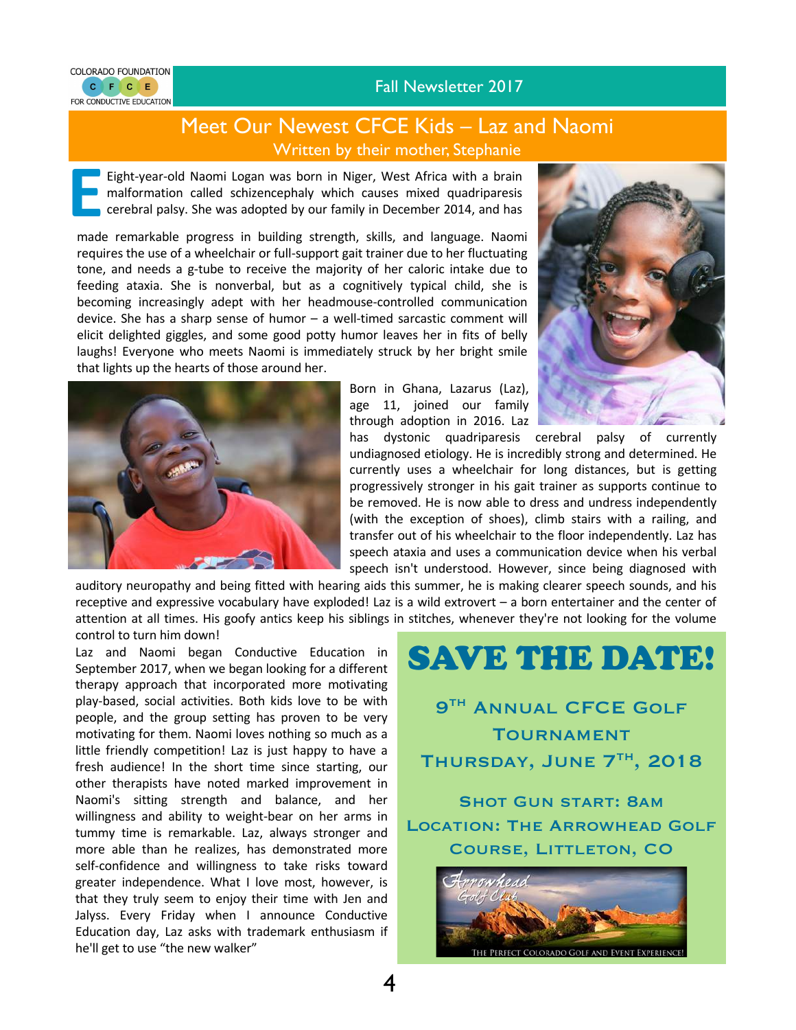#### Fall Newsletter 2017



### Meet Our Newest CFCE Kids – Laz and Naomi Written by their mother, Stephanie

Eight-year-old Naomi Logan was born in Niger, West Africa with a brain malformation called schizencephaly which causes mixed quadriparesis cerebral palsy. She was adopted by our family in December 2014, and has malformation called schizencephaly which causes mixed quadriparesis cerebral palsy. She was adopted by our family in December 2014, and has

December made remarkable progress in building strength, skills, and language. Naomi requires the use of a wheelchair or full-support gait trainer due to her fluctuating tone, and needs a g-tube to receive the majority of her caloric intake due to feeding ataxia. She is nonverbal, but as a cognitively typical child, she is becoming increasingly adept with her headmouse-controlled communication device. She has a sharp sense of humor – a well-timed sarcastic comment will elicit delighted giggles, and some good potty humor leaves her in fits of belly laughs! Everyone who meets Naomi is immediately struck by her bright smile that lights up the hearts of those around her.



Born in Ghana, Lazarus (Laz), age 11, joined our family through adoption in 2016. Laz



has dystonic quadriparesis cerebral palsy of currently undiagnosed etiology. He is incredibly strong and determined. He currently uses a wheelchair for long distances, but is getting progressively stronger in his gait trainer as supports continue to be removed. He is now able to dress and undress independently (with the exception of shoes), climb stairs with a railing, and transfer out of his wheelchair to the floor independently. Laz has speech ataxia and uses a communication device when his verbal speech isn't understood. However, since being diagnosed with

auditory neuropathy and being fitted with hearing aids this summer, he is making clearer speech sounds, and his receptive and expressive vocabulary have exploded! Laz is a wild extrovert – a born entertainer and the center of attention at all times. His goofy antics keep his siblings in stitches, whenever they're not looking for the volume control to turn him down!

4

Laz and Naomi began Conductive Education in September 2017, when we began looking for a different therapy approach that incorporated more motivating play-based, social activities. Both kids love to be with people, and the group setting has proven to be very motivating for them. Naomi loves nothing so much as a little friendly competition! Laz is just happy to have a fresh audience! In the short time since starting, our other therapists have noted marked improvement in Naomi's sitting strength and balance, and her willingness and ability to weight-bear on her arms in tummy time is remarkable. Laz, always stronger and more able than he realizes, has demonstrated more self-confidence and willingness to take risks toward greater independence. What I love most, however, is that they truly seem to enjoy their time with Jen and Jalyss. Every Friday when I announce Conductive Education day, Laz asks with trademark enthusiasm if he'll get to use "the new walker"



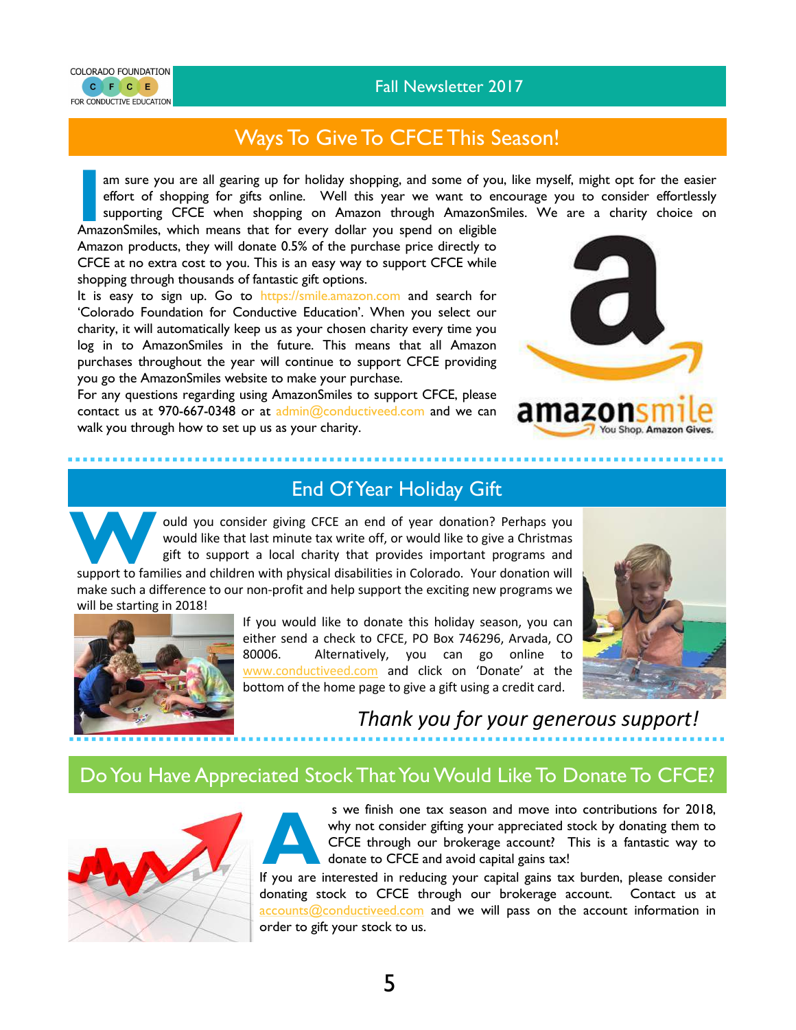#### Fall Newsletter 2017



## Ways To Give To CFCE This Season!

am sure you are all gearing up for holiday shopping, and some of you, like myself, might opt for the easier effort of shopping for gifts online. Well this year we want to encourage you to consider effortlessly am sure you are all gearing up for holiday shopping, and some of you, like myself, might opt for the easier effort of shopping for gifts online. Well this year we want to encourage you to consider effortlessly supporting C

AmazonSmiles, which means that for every dollar you spend on eligible Amazon products, they will donate 0.5% of the purchase price directly to CFCE at no extra cost to you. This is an easy way to support CFCE while shopping through thousands of fantastic gift options.

It is easy to sign up. Go to https://smile.amazon.com and search for 'Colorado Foundation for Conductive Education'. When you select our charity, it will automatically keep us as your chosen charity every time you log in to AmazonSmiles in the future. This means that all Amazon purchases throughout the year will continue to support CFCE providing you go the AmazonSmiles website to make your purchase.

For any questions regarding using AmazonSmiles to support CFCE, please contact us at 970-667-0348 or at admin@conductiveed.com and we can walk you through how to set up us as your charity.



## 6Z0



ould you consider giving CFCE an end of year donation? Perhaps you would like that last minute tax write off, or would like to give a Christmas **Example 12 and Support and Support and Support to families and children with physical disabilities in Colorado. Your donation will support to families and children with physical disabilities in Colorado. Your donation wil** 

End Of Year Holiday Gift

make such a difference to our non-profit and help support the exciting new programs we will be starting in 2018!



If you would like to donate this holiday season, you can either send a check to CFCE, PO Box 746296, Arvada, CO 80006. Alternatively, you can go online to www.conductiveed.com and click on 'Donate' at the bottom of the home page to give a gift using a credit card.



*Thank you for your generous support!*

## Do You Have Appreciated Stock That You Would Like To Donate To CFCE?





s we finish one tax season and move into contributions for 2018,<br>why not consider gifting your appreciated stock by donating them to<br>CFCE through our brokerage account? This is a fantastic way to<br>donate to CFCE and avoid c s we finish one tax season and move into contributions for 2018, why not consider gifting your appreciated stock by donating them to CFCE through our brokerage account? This is a fantastic way to donate to CFCE and avoid capital gains tax!

donating stock to CFCE through our brokerage account. Contact us at accounts@conductiveed.com and we will pass on the account information in order to gift your stock to us.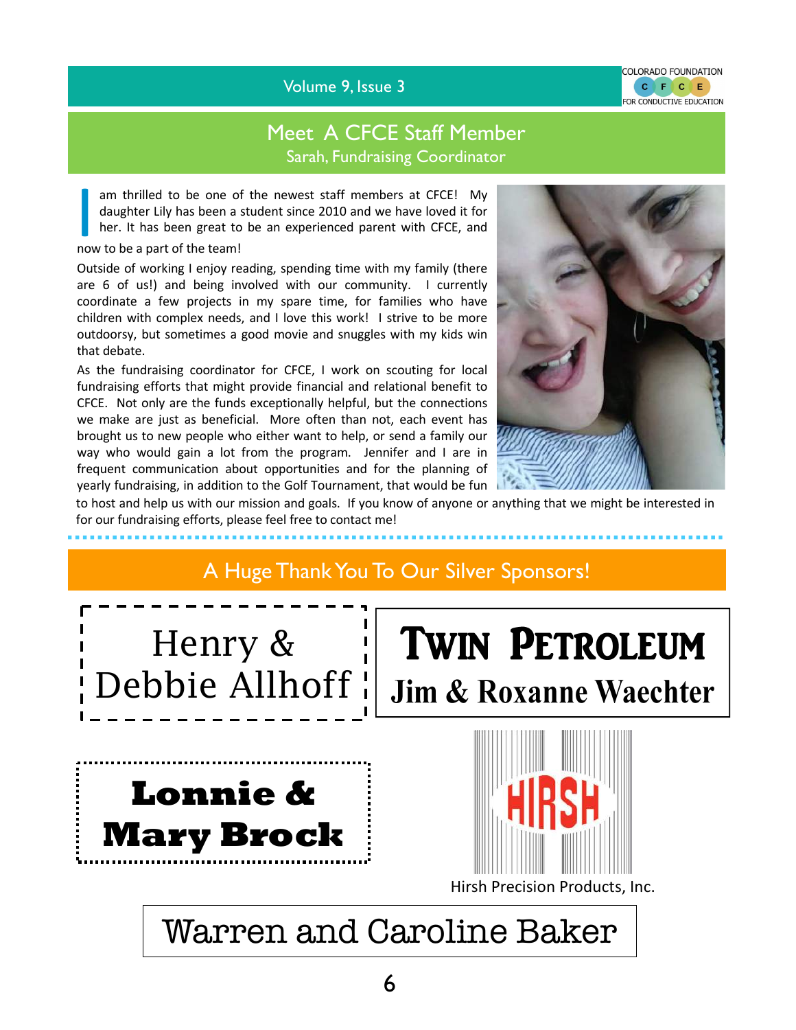Volume 9, Issue 3

## Meet A CFCE Staff Member Sarah, Fundraising Coordinator

am thrilled to be one of<br>daughter Lily has been a<br>her. It has been great to<br>now to be a part of the team! am thrilled to be one of the newest staff members at CFCE! My daughter Lily has been a student since 2010 and we have loved it for her. It has been great to be an experienced parent with CFCE, and

Outside of working I enjoy reading, spending time with my family (there are 6 of us!) and being involved with our community. I currently coordinate a few projects in my spare time, for families who have children with complex needs, and I love this work! I strive to be more outdoorsy, but sometimes a good movie and snuggles with my kids win that debate.

As the fundraising coordinator for CFCE, I work on scouting for local fundraising efforts that might provide financial and relational benefit to CFCE. Not only are the funds exceptionally helpful, but the connections we make are just as beneficial. More often than not, each event has brought us to new people who either want to help, or send a family our way who would gain a lot from the program. Jennifer and I are in frequent communication about opportunities and for the planning of yearly fundraising, in addition to the Golf Tournament, that would be fun



COLORADO FOUNDATION C F C E FOR CONDUCTIVE EDUCATION

to host and help us with our mission and goals. If you know of anyone or anything that we might be interested in for our fundraising efforts, please feel free to contact me!

# A Huge Thank You To Our Silver Sponsors! Henry & **TWIN PETROLEUM** Debbie Allhoff ¦ **Jim & Roxanne Waechter Lonnie & Mary Brock**  Hirsh Precision Products, Inc. Warren and Caroline Baker